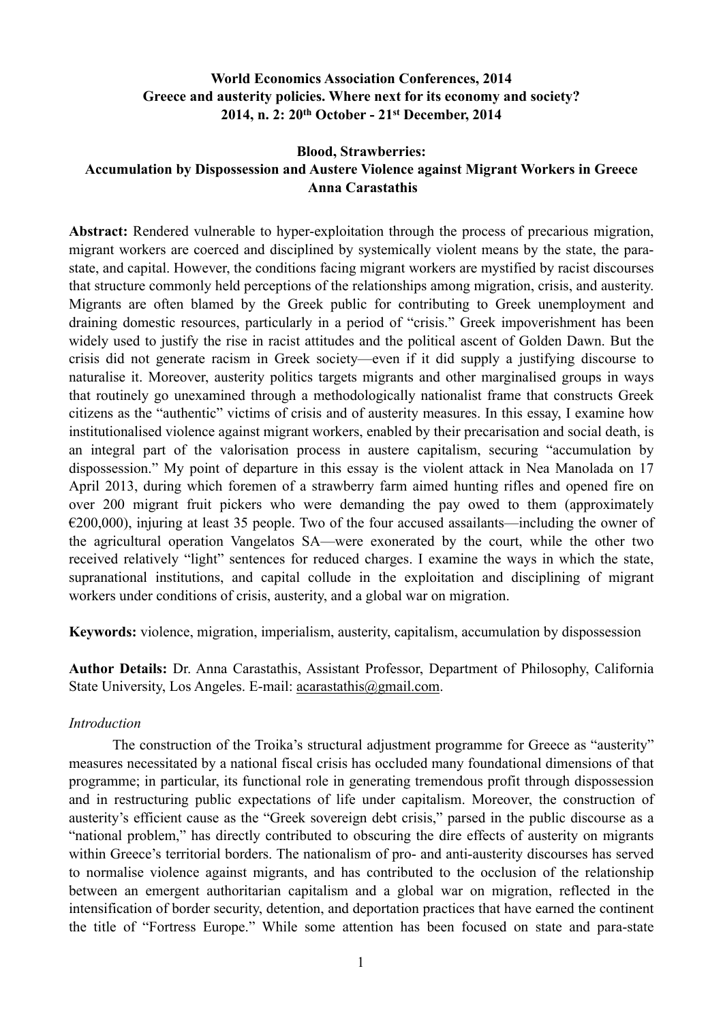# **World Economics Association Conferences, 2014 Greece and austerity policies. Where next for its economy and society? 2014, n. 2: 20th October - 21st December, 2014**

# **Blood, Strawberries: Accumulation by Dispossession and Austere Violence against Migrant Workers in Greece Anna Carastathis**

**Abstract:** Rendered vulnerable to hyper-exploitation through the process of precarious migration, migrant workers are coerced and disciplined by systemically violent means by the state, the parastate, and capital. However, the conditions facing migrant workers are mystified by racist discourses that structure commonly held perceptions of the relationships among migration, crisis, and austerity. Migrants are often blamed by the Greek public for contributing to Greek unemployment and draining domestic resources, particularly in a period of "crisis." Greek impoverishment has been widely used to justify the rise in racist attitudes and the political ascent of Golden Dawn. But the crisis did not generate racism in Greek society—even if it did supply a justifying discourse to naturalise it. Moreover, austerity politics targets migrants and other marginalised groups in ways that routinely go unexamined through a methodologically nationalist frame that constructs Greek citizens as the "authentic" victims of crisis and of austerity measures. In this essay, I examine how institutionalised violence against migrant workers, enabled by their precarisation and social death, is an integral part of the valorisation process in austere capitalism, securing "accumulation by dispossession." My point of departure in this essay is the violent attack in Nea Manolada on 17 April 2013, during which foremen of a strawberry farm aimed hunting rifles and opened fire on over 200 migrant fruit pickers who were demanding the pay owed to them (approximately  $\epsilon$ 200,000), injuring at least 35 people. Two of the four accused assailants—including the owner of the agricultural operation Vangelatos SA—were exonerated by the court, while the other two received relatively "light" sentences for reduced charges. I examine the ways in which the state, supranational institutions, and capital collude in the exploitation and disciplining of migrant workers under conditions of crisis, austerity, and a global war on migration.

**Keywords:** violence, migration, imperialism, austerity, capitalism, accumulation by dispossession

**Author Details:** Dr. Anna Carastathis, Assistant Professor, Department of Philosophy, California State University, Los Angeles. E-mail: [acarastathis@gmail.com](mailto:acarastathis@gmail.com).

## *Introduction*

 The construction of the Troika's structural adjustment programme for Greece as "austerity" measures necessitated by a national fiscal crisis has occluded many foundational dimensions of that programme; in particular, its functional role in generating tremendous profit through dispossession and in restructuring public expectations of life under capitalism. Moreover, the construction of austerity's efficient cause as the "Greek sovereign debt crisis," parsed in the public discourse as a "national problem," has directly contributed to obscuring the dire effects of austerity on migrants within Greece's territorial borders. The nationalism of pro- and anti-austerity discourses has served to normalise violence against migrants, and has contributed to the occlusion of the relationship between an emergent authoritarian capitalism and a global war on migration, reflected in the intensification of border security, detention, and deportation practices that have earned the continent the title of "Fortress Europe." While some attention has been focused on state and para-state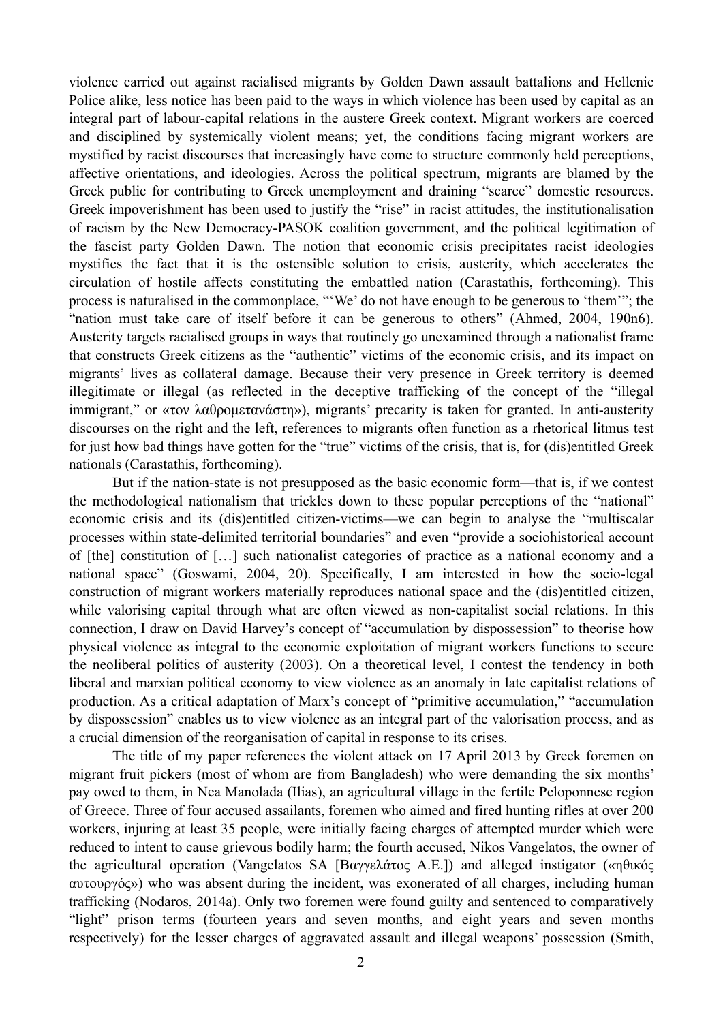violence carried out against racialised migrants by Golden Dawn assault battalions and Hellenic Police alike, less notice has been paid to the ways in which violence has been used by capital as an integral part of labour-capital relations in the austere Greek context. Migrant workers are coerced and disciplined by systemically violent means; yet, the conditions facing migrant workers are mystified by racist discourses that increasingly have come to structure commonly held perceptions, affective orientations, and ideologies. Across the political spectrum, migrants are blamed by the Greek public for contributing to Greek unemployment and draining "scarce" domestic resources. Greek impoverishment has been used to justify the "rise" in racist attitudes, the institutionalisation of racism by the New Democracy-PASOK coalition government, and the political legitimation of the fascist party Golden Dawn. The notion that economic crisis precipitates racist ideologies mystifies the fact that it is the ostensible solution to crisis, austerity, which accelerates the circulation of hostile affects constituting the embattled nation (Carastathis, forthcoming). This process is naturalised in the commonplace, "'We' do not have enough to be generous to 'them'"; the "nation must take care of itself before it can be generous to others" (Ahmed, 2004, 190n6). Austerity targets racialised groups in ways that routinely go unexamined through a nationalist frame that constructs Greek citizens as the "authentic" victims of the economic crisis, and its impact on migrants' lives as collateral damage. Because their very presence in Greek territory is deemed illegitimate or illegal (as reflected in the deceptive trafficking of the concept of the "illegal immigrant," or «τον λαθρομετανάστη»), migrants' precarity is taken for granted. In anti-austerity discourses on the right and the left, references to migrants often function as a rhetorical litmus test for just how bad things have gotten for the "true" victims of the crisis, that is, for (dis)entitled Greek nationals (Carastathis, forthcoming).

 But if the nation-state is not presupposed as the basic economic form—that is, if we contest the methodological nationalism that trickles down to these popular perceptions of the "national" economic crisis and its (dis)entitled citizen-victims—we can begin to analyse the "multiscalar processes within state-delimited territorial boundaries" and even "provide a sociohistorical account of [the] constitution of […] such nationalist categories of practice as a national economy and a national space" (Goswami, 2004, 20). Specifically, I am interested in how the socio-legal construction of migrant workers materially reproduces national space and the (dis)entitled citizen, while valorising capital through what are often viewed as non-capitalist social relations. In this connection, I draw on David Harvey's concept of "accumulation by dispossession" to theorise how physical violence as integral to the economic exploitation of migrant workers functions to secure the neoliberal politics of austerity (2003). On a theoretical level, I contest the tendency in both liberal and marxian political economy to view violence as an anomaly in late capitalist relations of production. As a critical adaptation of Marx's concept of "primitive accumulation," "accumulation by dispossession" enables us to view violence as an integral part of the valorisation process, and as a crucial dimension of the reorganisation of capital in response to its crises.

 The title of my paper references the violent attack on 17 April 2013 by Greek foremen on migrant fruit pickers (most of whom are from Bangladesh) who were demanding the six months' pay owed to them, in Nea Manolada (Ilias), an agricultural village in the fertile Peloponnese region of Greece. Three of four accused assailants, foremen who aimed and fired hunting rifles at over 200 workers, injuring at least 35 people, were initially facing charges of attempted murder which were reduced to intent to cause grievous bodily harm; the fourth accused, Nikos Vangelatos, the owner of the agricultural operation (Vangelatos SA [Βαγγελάτος Α.Ε.]) and alleged instigator («ηθικός αυτουργός») who was absent during the incident, was exonerated of all charges, including human trafficking (Nodaros, 2014a). Only two foremen were found guilty and sentenced to comparatively "light" prison terms (fourteen years and seven months, and eight years and seven months respectively) for the lesser charges of aggravated assault and illegal weapons' possession (Smith,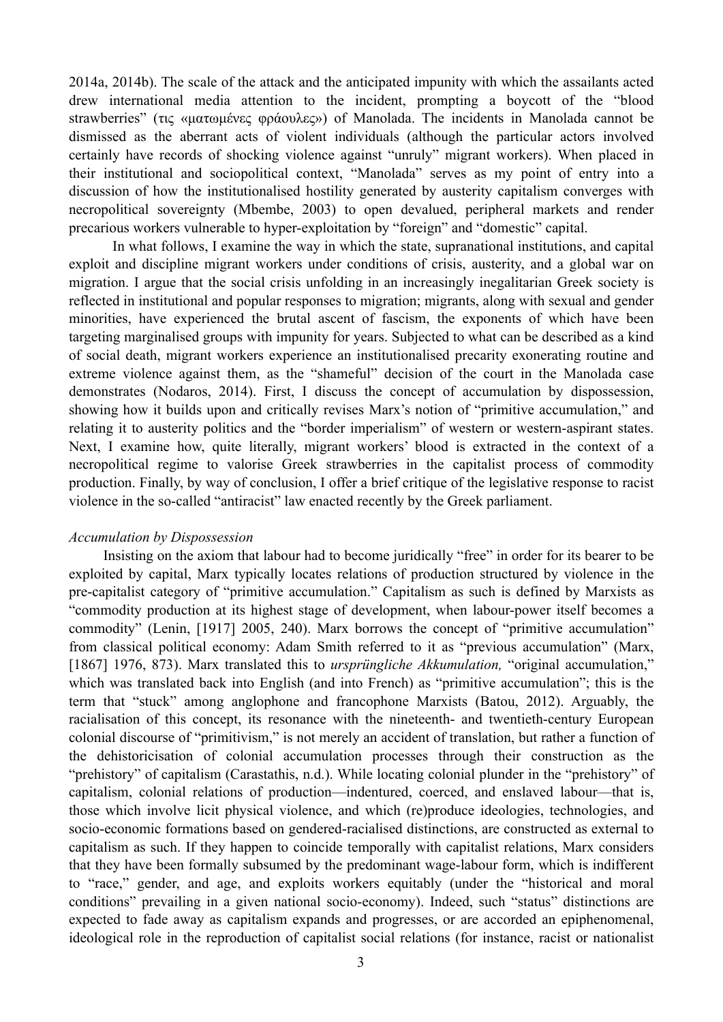2014a, 2014b). The scale of the attack and the anticipated impunity with which the assailants acted drew international media attention to the incident, prompting a boycott of the "blood strawberries" (τις «µατωµένες φράουλες») of Manolada. The incidents in Manolada cannot be dismissed as the aberrant acts of violent individuals (although the particular actors involved certainly have records of shocking violence against "unruly" migrant workers). When placed in their institutional and sociopolitical context, "Manolada" serves as my point of entry into a discussion of how the institutionalised hostility generated by austerity capitalism converges with necropolitical sovereignty (Mbembe, 2003) to open devalued, peripheral markets and render precarious workers vulnerable to hyper-exploitation by "foreign" and "domestic" capital.

 In what follows, I examine the way in which the state, supranational institutions, and capital exploit and discipline migrant workers under conditions of crisis, austerity, and a global war on migration. I argue that the social crisis unfolding in an increasingly inegalitarian Greek society is reflected in institutional and popular responses to migration; migrants, along with sexual and gender minorities, have experienced the brutal ascent of fascism, the exponents of which have been targeting marginalised groups with impunity for years. Subjected to what can be described as a kind of social death, migrant workers experience an institutionalised precarity exonerating routine and extreme violence against them, as the "shameful" decision of the court in the Manolada case demonstrates (Nodaros, 2014). First, I discuss the concept of accumulation by dispossession, showing how it builds upon and critically revises Marx's notion of "primitive accumulation," and relating it to austerity politics and the "border imperialism" of western or western-aspirant states. Next, I examine how, quite literally, migrant workers' blood is extracted in the context of a necropolitical regime to valorise Greek strawberries in the capitalist process of commodity production. Finally, by way of conclusion, I offer a brief critique of the legislative response to racist violence in the so-called "antiracist" law enacted recently by the Greek parliament.

#### *Accumulation by Dispossession*

 Insisting on the axiom that labour had to become juridically "free" in order for its bearer to be exploited by capital, Marx typically locates relations of production structured by violence in the pre-capitalist category of "primitive accumulation." Capitalism as such is defined by Marxists as "commodity production at its highest stage of development, when labour-power itself becomes a commodity" (Lenin, [1917] 2005, 240). Marx borrows the concept of "primitive accumulation" from classical political economy: Adam Smith referred to it as "previous accumulation" (Marx, [1867] 1976, 873). Marx translated this to *ursprüngliche Akkumulation,* "original accumulation," which was translated back into English (and into French) as "primitive accumulation"; this is the term that "stuck" among anglophone and francophone Marxists (Batou, 2012). Arguably, the racialisation of this concept, its resonance with the nineteenth- and twentieth-century European colonial discourse of "primitivism," is not merely an accident of translation, but rather a function of the dehistoricisation of colonial accumulation processes through their construction as the "prehistory" of capitalism (Carastathis, n.d.). While locating colonial plunder in the "prehistory" of capitalism, colonial relations of production—indentured, coerced, and enslaved labour—that is, those which involve licit physical violence, and which (re)produce ideologies, technologies, and socio-economic formations based on gendered-racialised distinctions, are constructed as external to capitalism as such. If they happen to coincide temporally with capitalist relations, Marx considers that they have been formally subsumed by the predominant wage-labour form, which is indifferent to "race," gender, and age, and exploits workers equitably (under the "historical and moral conditions" prevailing in a given national socio-economy). Indeed, such "status" distinctions are expected to fade away as capitalism expands and progresses, or are accorded an epiphenomenal, ideological role in the reproduction of capitalist social relations (for instance, racist or nationalist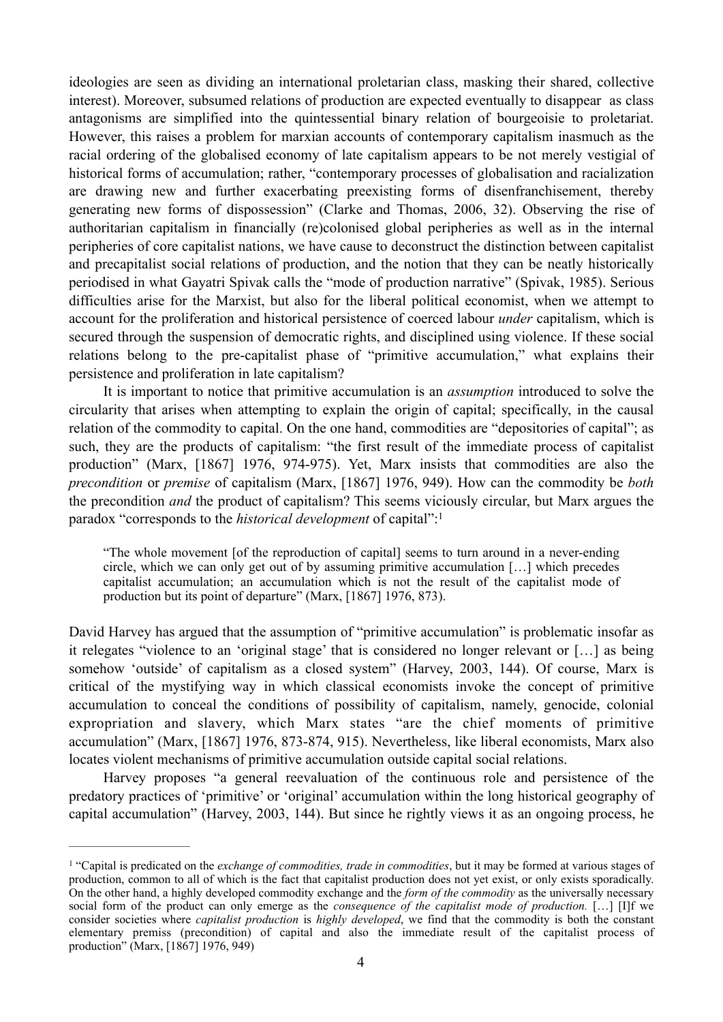ideologies are seen as dividing an international proletarian class, masking their shared, collective interest). Moreover, subsumed relations of production are expected eventually to disappear as class antagonisms are simplified into the quintessential binary relation of bourgeoisie to proletariat. However, this raises a problem for marxian accounts of contemporary capitalism inasmuch as the racial ordering of the globalised economy of late capitalism appears to be not merely vestigial of historical forms of accumulation; rather, "contemporary processes of globalisation and racialization are drawing new and further exacerbating preexisting forms of disenfranchisement, thereby generating new forms of dispossession" (Clarke and Thomas, 2006, 32). Observing the rise of authoritarian capitalism in financially (re)colonised global peripheries as well as in the internal peripheries of core capitalist nations, we have cause to deconstruct the distinction between capitalist and precapitalist social relations of production, and the notion that they can be neatly historically periodised in what Gayatri Spivak calls the "mode of production narrative" (Spivak, 1985). Serious difficulties arise for the Marxist, but also for the liberal political economist, when we attempt to account for the proliferation and historical persistence of coerced labour *under* capitalism, which is secured through the suspension of democratic rights, and disciplined using violence. If these social relations belong to the pre-capitalist phase of "primitive accumulation," what explains their persistence and proliferation in late capitalism?

 It is important to notice that primitive accumulation is an *assumption* introduced to solve the circularity that arises when attempting to explain the origin of capital; specifically, in the causal relation of the commodity to capital. On the one hand, commodities are "depositories of capital"; as such, they are the products of capitalism: "the first result of the immediate process of capitalist production" (Marx, [1867] 1976, 974-975). Yet, Marx insists that commodities are also the *precondition* or *premise* of capitalism (Marx, [1867] 1976, 949). How can the commodity be *both* the precondition *and* the product of capitalism? This seems viciously circular, but Marx argues the paradox "corresponds to the *historical development* of capital":1

"The whole movement [of the reproduction of capital] seems to turn around in a never-ending circle, which we can only get out of by assuming primitive accumulation […] which precedes capitalist accumulation; an accumulation which is not the result of the capitalist mode of production but its point of departure" (Marx, [1867] 1976, 873).

David Harvey has argued that the assumption of "primitive accumulation" is problematic insofar as it relegates "violence to an 'original stage' that is considered no longer relevant or […] as being somehow 'outside' of capitalism as a closed system" (Harvey, 2003, 144). Of course, Marx is critical of the mystifying way in which classical economists invoke the concept of primitive accumulation to conceal the conditions of possibility of capitalism, namely, genocide, colonial expropriation and slavery, which Marx states "are the chief moments of primitive accumulation" (Marx, [1867] 1976, 873-874, 915). Nevertheless, like liberal economists, Marx also locates violent mechanisms of primitive accumulation outside capital social relations.

 Harvey proposes "a general reevaluation of the continuous role and persistence of the predatory practices of 'primitive' or 'original' accumulation within the long historical geography of capital accumulation" (Harvey, 2003, 144). But since he rightly views it as an ongoing process, he

<sup>&</sup>lt;sup>1</sup> "Capital is predicated on the *exchange of commodities, trade in commodities*, but it may be formed at various stages of production, common to all of which is the fact that capitalist production does not yet exist, or only exists sporadically. On the other hand, a highly developed commodity exchange and the *form of the commodity* as the universally necessary social form of the product can only emerge as the *consequence of the capitalist mode of production.* […] [I]f we consider societies where *capitalist production* is *highly developed*, we find that the commodity is both the constant elementary premiss (precondition) of capital and also the immediate result of the capitalist process of production" (Marx, [1867] 1976, 949)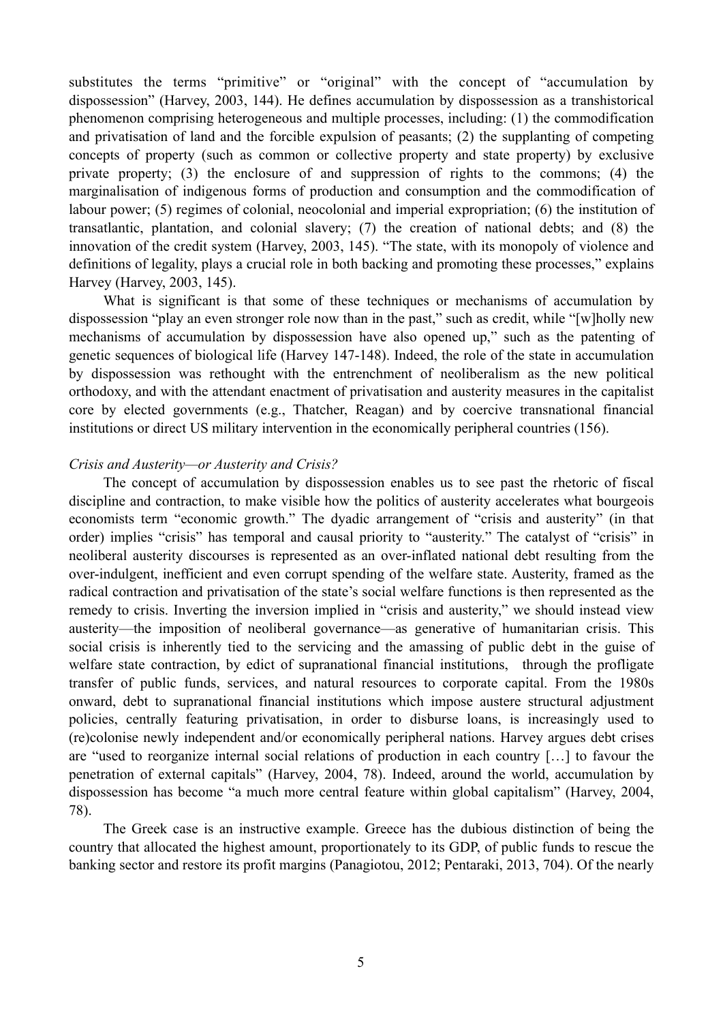substitutes the terms "primitive" or "original" with the concept of "accumulation by dispossession" (Harvey, 2003, 144). He defines accumulation by dispossession as a transhistorical phenomenon comprising heterogeneous and multiple processes, including: (1) the commodification and privatisation of land and the forcible expulsion of peasants; (2) the supplanting of competing concepts of property (such as common or collective property and state property) by exclusive private property; (3) the enclosure of and suppression of rights to the commons; (4) the marginalisation of indigenous forms of production and consumption and the commodification of labour power; (5) regimes of colonial, neocolonial and imperial expropriation; (6) the institution of transatlantic, plantation, and colonial slavery; (7) the creation of national debts; and (8) the innovation of the credit system (Harvey, 2003, 145). "The state, with its monopoly of violence and definitions of legality, plays a crucial role in both backing and promoting these processes," explains Harvey (Harvey, 2003, 145).

 What is significant is that some of these techniques or mechanisms of accumulation by dispossession "play an even stronger role now than in the past," such as credit, while "[w]holly new mechanisms of accumulation by dispossession have also opened up," such as the patenting of genetic sequences of biological life (Harvey 147-148). Indeed, the role of the state in accumulation by dispossession was rethought with the entrenchment of neoliberalism as the new political orthodoxy, and with the attendant enactment of privatisation and austerity measures in the capitalist core by elected governments (e.g., Thatcher, Reagan) and by coercive transnational financial institutions or direct US military intervention in the economically peripheral countries (156).

#### *Crisis and Austerity—or Austerity and Crisis?*

 The concept of accumulation by dispossession enables us to see past the rhetoric of fiscal discipline and contraction, to make visible how the politics of austerity accelerates what bourgeois economists term "economic growth." The dyadic arrangement of "crisis and austerity" (in that order) implies "crisis" has temporal and causal priority to "austerity." The catalyst of "crisis" in neoliberal austerity discourses is represented as an over-inflated national debt resulting from the over-indulgent, inefficient and even corrupt spending of the welfare state. Austerity, framed as the radical contraction and privatisation of the state's social welfare functions is then represented as the remedy to crisis. Inverting the inversion implied in "crisis and austerity," we should instead view austerity—the imposition of neoliberal governance—as generative of humanitarian crisis. This social crisis is inherently tied to the servicing and the amassing of public debt in the guise of welfare state contraction, by edict of supranational financial institutions, through the profligate transfer of public funds, services, and natural resources to corporate capital. From the 1980s onward, debt to supranational financial institutions which impose austere structural adjustment policies, centrally featuring privatisation, in order to disburse loans, is increasingly used to (re)colonise newly independent and/or economically peripheral nations. Harvey argues debt crises are "used to reorganize internal social relations of production in each country […] to favour the penetration of external capitals" (Harvey, 2004, 78). Indeed, around the world, accumulation by dispossession has become "a much more central feature within global capitalism" (Harvey, 2004, 78).

 The Greek case is an instructive example. Greece has the dubious distinction of being the country that allocated the highest amount, proportionately to its GDP, of public funds to rescue the banking sector and restore its profit margins (Panagiotou, 2012; Pentaraki, 2013, 704). Of the nearly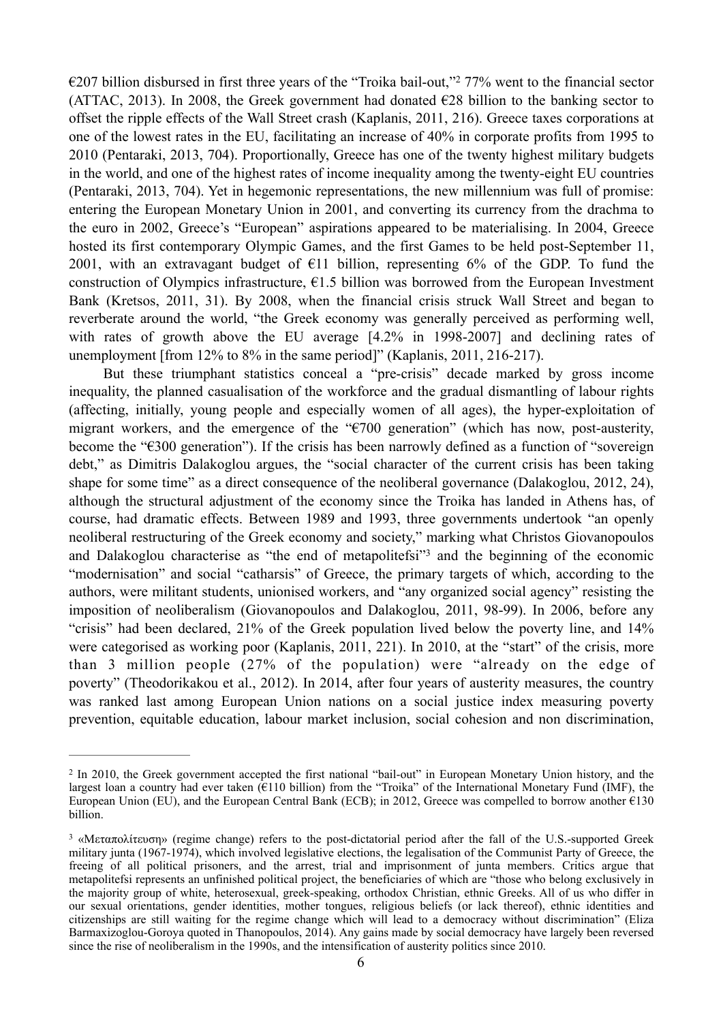$\epsilon$ 207 billion disbursed in first three years of the "Troika bail-out,"  $277\%$  went to the financial sector (ATTAC, 2013). In 2008, the Greek government had donated  $\epsilon$ 28 billion to the banking sector to offset the ripple effects of the Wall Street crash (Kaplanis, 2011, 216). Greece taxes corporations at one of the lowest rates in the EU, facilitating an increase of 40% in corporate profits from 1995 to 2010 (Pentaraki, 2013, 704). Proportionally, Greece has one of the twenty highest military budgets in the world, and one of the highest rates of income inequality among the twenty-eight EU countries (Pentaraki, 2013, 704). Yet in hegemonic representations, the new millennium was full of promise: entering the European Monetary Union in 2001, and converting its currency from the drachma to the euro in 2002, Greece's "European" aspirations appeared to be materialising. In 2004, Greece hosted its first contemporary Olympic Games, and the first Games to be held post-September 11, 2001, with an extravagant budget of  $E11$  billion, representing 6% of the GDP. To fund the construction of Olympics infrastructure,  $\epsilon$ 1.5 billion was borrowed from the European Investment Bank (Kretsos, 2011, 31). By 2008, when the financial crisis struck Wall Street and began to reverberate around the world, "the Greek economy was generally perceived as performing well, with rates of growth above the EU average  $[4.2\%$  in 1998-2007] and declining rates of unemployment [from 12% to 8% in the same period]" (Kaplanis, 2011, 216-217).

 But these triumphant statistics conceal a "pre-crisis" decade marked by gross income inequality, the planned casualisation of the workforce and the gradual dismantling of labour rights (affecting, initially, young people and especially women of all ages), the hyper-exploitation of migrant workers, and the emergence of the "€700 generation" (which has now, post-austerity, become the "€300 generation"). If the crisis has been narrowly defined as a function of "sovereign debt," as Dimitris Dalakoglou argues, the "social character of the current crisis has been taking shape for some time" as a direct consequence of the neoliberal governance (Dalakoglou, 2012, 24), although the structural adjustment of the economy since the Troika has landed in Athens has, of course, had dramatic effects. Between 1989 and 1993, three governments undertook "an openly neoliberal restructuring of the Greek economy and society," marking what Christos Giovanopoulos and Dalakoglou characterise as "the end of metapolitefsi"<sup>3</sup> and the beginning of the economic "modernisation" and social "catharsis" of Greece, the primary targets of which, according to the authors, were militant students, unionised workers, and "any organized social agency" resisting the imposition of neoliberalism (Giovanopoulos and Dalakoglou, 2011, 98-99). In 2006, before any "crisis" had been declared, 21% of the Greek population lived below the poverty line, and 14% were categorised as working poor (Kaplanis, 2011, 221). In 2010, at the "start" of the crisis, more than 3 million people (27% of the population) were "already on the edge of poverty" (Theodorikakou et al., 2012). In 2014, after four years of austerity measures, the country was ranked last among European Union nations on a social justice index measuring poverty prevention, equitable education, labour market inclusion, social cohesion and non discrimination,

<sup>&</sup>lt;sup>2</sup> In 2010, the Greek government accepted the first national "bail-out" in European Monetary Union history, and the largest loan a country had ever taken ( $E110$  billion) from the "Troika" of the International Monetary Fund (IMF), the European Union (EU), and the European Central Bank (ECB); in 2012, Greece was compelled to borrow another €130 billion.

<sup>&</sup>lt;sup>3</sup> «Μεταπολίτευση» (regime change) refers to the post-dictatorial period after the fall of the U.S.-supported Greek military junta (1967-1974), which involved legislative elections, the legalisation of the Communist Party of Greece, the freeing of all political prisoners, and the arrest, trial and imprisonment of junta members. Critics argue that metapolitefsi represents an unfinished political project, the beneficiaries of which are "those who belong exclusively in the majority group of white, heterosexual, greek-speaking, orthodox Christian, ethnic Greeks. All of us who differ in our sexual orientations, gender identities, mother tongues, religious beliefs (or lack thereof), ethnic identities and citizenships are still waiting for the regime change which will lead to a democracy without discrimination" (Eliza Barmaxizoglou-Goroya quoted in Thanopoulos, 2014). Any gains made by social democracy have largely been reversed since the rise of neoliberalism in the 1990s, and the intensification of austerity politics since 2010.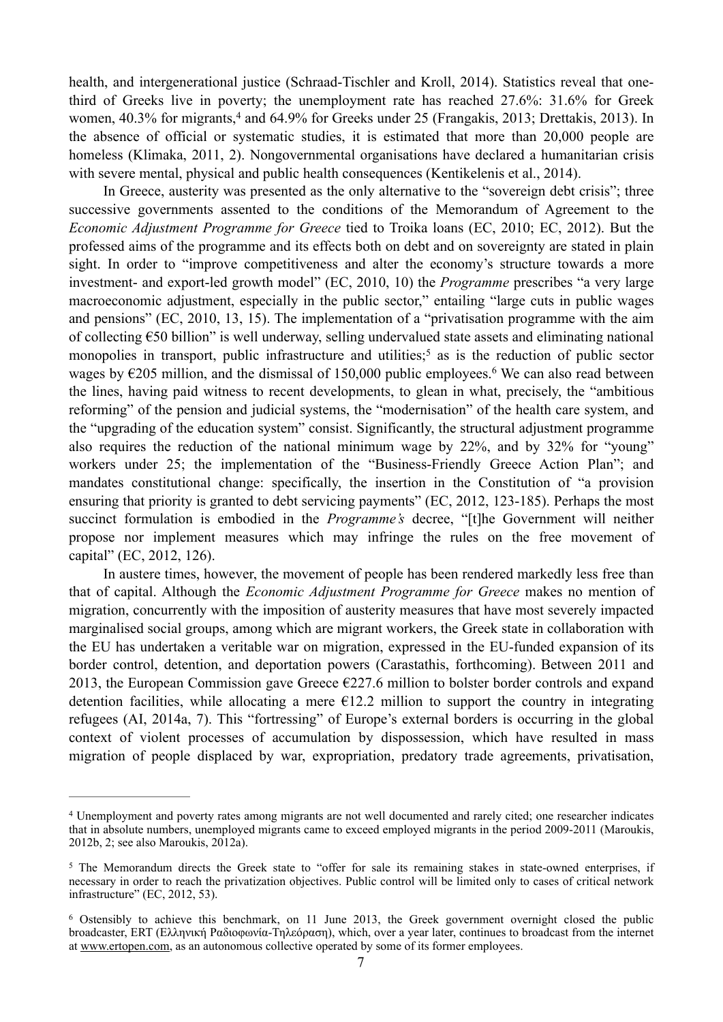health, and intergenerational justice (Schraad-Tischler and Kroll, 2014). Statistics reveal that onethird of Greeks live in poverty; the unemployment rate has reached 27.6%: 31.6% for Greek women,  $40.3\%$  for migrants,  $4$  and  $64.9\%$  for Greeks under 25 (Frangakis, 2013; Drettakis, 2013). In the absence of official or systematic studies, it is estimated that more than 20,000 people are homeless (Klimaka, 2011, 2). Nongovernmental organisations have declared a humanitarian crisis with severe mental, physical and public health consequences (Kentikelenis et al., 2014).

 In Greece, austerity was presented as the only alternative to the "sovereign debt crisis"; three successive governments assented to the conditions of the Memorandum of Agreement to the *Economic Adjustment Programme for Greece* tied to Troika loans (EC, 2010; EC, 2012). But the professed aims of the programme and its effects both on debt and on sovereignty are stated in plain sight. In order to "improve competitiveness and alter the economy's structure towards a more investment- and export-led growth model" (EC, 2010, 10) the *Programme* prescribes "a very large macroeconomic adjustment, especially in the public sector," entailing "large cuts in public wages and pensions" (EC, 2010, 13, 15). The implementation of a "privatisation programme with the aim of collecting  $\epsilon$ 50 billion" is well underway, selling undervalued state assets and eliminating national monopolies in transport, public infrastructure and utilities;<sup>5</sup> as is the reduction of public sector wages by  $\epsilon$ 205 million, and the dismissal of 150,000 public employees.<sup>6</sup> We can also read between the lines, having paid witness to recent developments, to glean in what, precisely, the "ambitious reforming" of the pension and judicial systems, the "modernisation" of the health care system, and the "upgrading of the education system" consist. Significantly, the structural adjustment programme also requires the reduction of the national minimum wage by 22%, and by 32% for "young" workers under 25; the implementation of the "Business-Friendly Greece Action Plan"; and mandates constitutional change: specifically, the insertion in the Constitution of "a provision ensuring that priority is granted to debt servicing payments" (EC, 2012, 123-185). Perhaps the most succinct formulation is embodied in the *Programme's* decree, "[t]he Government will neither propose nor implement measures which may infringe the rules on the free movement of capital" (EC, 2012, 126).

 In austere times, however, the movement of people has been rendered markedly less free than that of capital. Although the *Economic Adjustment Programme for Greece* makes no mention of migration, concurrently with the imposition of austerity measures that have most severely impacted marginalised social groups, among which are migrant workers, the Greek state in collaboration with the EU has undertaken a veritable war on migration, expressed in the EU-funded expansion of its border control, detention, and deportation powers (Carastathis, forthcoming). Between 2011 and 2013, the European Commission gave Greece  $E227.6$  million to bolster border controls and expand detention facilities, while allocating a mere  $\epsilon$ 12.2 million to support the country in integrating refugees (AI, 2014a, 7). This "fortressing" of Europe's external borders is occurring in the global context of violent processes of accumulation by dispossession, which have resulted in mass migration of people displaced by war, expropriation, predatory trade agreements, privatisation,

Unemployment and poverty rates among migrants are not well documented and rarely cited; one researcher indicates 4 that in absolute numbers, unemployed migrants came to exceed employed migrants in the period 2009-2011 (Maroukis, 2012b, 2; see also Maroukis, 2012a).

<sup>&</sup>lt;sup>5</sup> The Memorandum directs the Greek state to "offer for sale its remaining stakes in state-owned enterprises, if necessary in order to reach the privatization objectives. Public control will be limited only to cases of critical network infrastructure" (EC, 2012, 53).

<sup>&</sup>lt;sup>6</sup> Ostensibly to achieve this benchmark, on 11 June 2013, the Greek government overnight closed the public broadcaster, ERT (Ελληνική Ραδιοφωνία-Τηλεόραση), which, over a year later, continues to broadcast from the internet at [www.ertopen.com,](http://www.ertopen.com) as an autonomous collective operated by some of its former employees.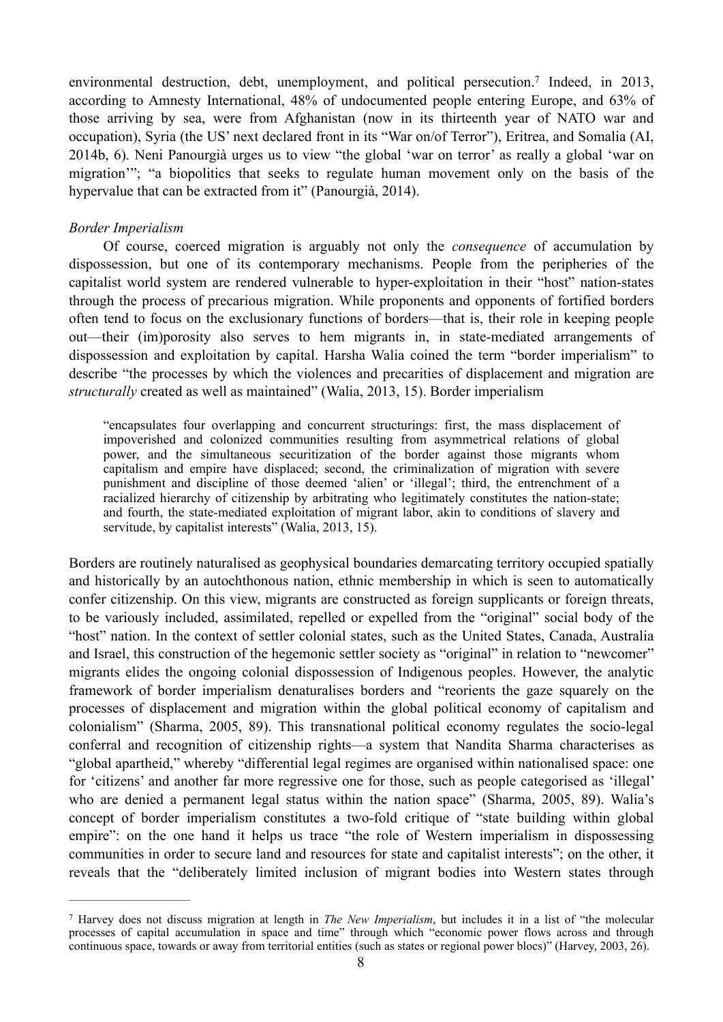environmental destruction, debt, unemployment, and political persecution.<sup>7</sup> Indeed, in 2013, according to Amnesty International, 48% of undocumented people entering Europe, and 63% of those arriving by sea, were from Afghanistan (now in its thirteenth year of NATO war and occupation), Syria (the US' next declared front in its "War on/of Terror"), Eritrea, and Somalia (AI, 2014b, 6). Neni Panourgià urges us to view "the global 'war on terror' as really a global 'war on migration'"; "a biopolitics that seeks to regulate human movement only on the basis of the hypervalue that can be extracted from it" (Panourgià, 2014).

### *Border Imperialism*

 Of course, coerced migration is arguably not only the *consequence* of accumulation by dispossession, but one of its contemporary mechanisms. People from the peripheries of the capitalist world system are rendered vulnerable to hyper-exploitation in their "host" nation-states through the process of precarious migration. While proponents and opponents of fortified borders often tend to focus on the exclusionary functions of borders—that is, their role in keeping people out—their (im)porosity also serves to hem migrants in, in state-mediated arrangements of dispossession and exploitation by capital. Harsha Walia coined the term "border imperialism" to describe "the processes by which the violences and precarities of displacement and migration are *structurally* created as well as maintained" (Walia, 2013, 15). Border imperialism

"encapsulates four overlapping and concurrent structurings: first, the mass displacement of impoverished and colonized communities resulting from asymmetrical relations of global power, and the simultaneous securitization of the border against those migrants whom capitalism and empire have displaced; second, the criminalization of migration with severe punishment and discipline of those deemed 'alien' or 'illegal'; third, the entrenchment of a racialized hierarchy of citizenship by arbitrating who legitimately constitutes the nation-state; and fourth, the state-mediated exploitation of migrant labor, akin to conditions of slavery and servitude, by capitalist interests" (Walia, 2013, 15).

Borders are routinely naturalised as geophysical boundaries demarcating territory occupied spatially and historically by an autochthonous nation, ethnic membership in which is seen to automatically confer citizenship. On this view, migrants are constructed as foreign supplicants or foreign threats, to be variously included, assimilated, repelled or expelled from the "original" social body of the "host" nation. In the context of settler colonial states, such as the United States, Canada, Australia and Israel, this construction of the hegemonic settler society as "original" in relation to "newcomer" migrants elides the ongoing colonial dispossession of Indigenous peoples. However, the analytic framework of border imperialism denaturalises borders and "reorients the gaze squarely on the processes of displacement and migration within the global political economy of capitalism and colonialism" (Sharma, 2005, 89). This transnational political economy regulates the socio-legal conferral and recognition of citizenship rights—a system that Nandita Sharma characterises as "global apartheid," whereby "differential legal regimes are organised within nationalised space: one for 'citizens' and another far more regressive one for those, such as people categorised as 'illegal' who are denied a permanent legal status within the nation space" (Sharma, 2005, 89). Walia's concept of border imperialism constitutes a two-fold critique of "state building within global empire": on the one hand it helps us trace "the role of Western imperialism in dispossessing communities in order to secure land and resources for state and capitalist interests"; on the other, it reveals that the "deliberately limited inclusion of migrant bodies into Western states through

Harvey does not discuss migration at length in *The New Imperialism*, but includes it in a list of "the molecular 7 processes of capital accumulation in space and time" through which "economic power flows across and through continuous space, towards or away from territorial entities (such as states or regional power blocs)" (Harvey, 2003, 26).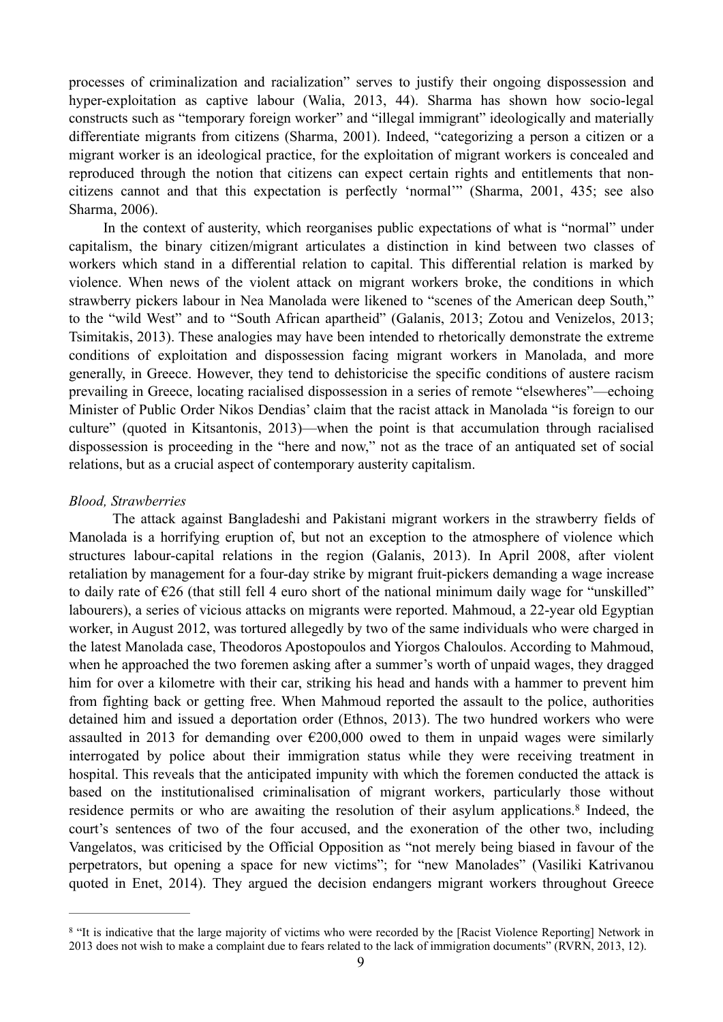processes of criminalization and racialization" serves to justify their ongoing dispossession and hyper-exploitation as captive labour (Walia, 2013, 44). Sharma has shown how socio-legal constructs such as "temporary foreign worker" and "illegal immigrant" ideologically and materially differentiate migrants from citizens (Sharma, 2001). Indeed, "categorizing a person a citizen or a migrant worker is an ideological practice, for the exploitation of migrant workers is concealed and reproduced through the notion that citizens can expect certain rights and entitlements that noncitizens cannot and that this expectation is perfectly 'normal'" (Sharma, 2001, 435; see also Sharma, 2006).

 In the context of austerity, which reorganises public expectations of what is "normal" under capitalism, the binary citizen/migrant articulates a distinction in kind between two classes of workers which stand in a differential relation to capital. This differential relation is marked by violence. When news of the violent attack on migrant workers broke, the conditions in which strawberry pickers labour in Nea Manolada were likened to "scenes of the American deep South," to the "wild West" and to "South African apartheid" (Galanis, 2013; Zotou and Venizelos, 2013; Tsimitakis, 2013). These analogies may have been intended to rhetorically demonstrate the extreme conditions of exploitation and dispossession facing migrant workers in Manolada, and more generally, in Greece. However, they tend to dehistoricise the specific conditions of austere racism prevailing in Greece, locating racialised dispossession in a series of remote "elsewheres"—echoing Minister of Public Order Nikos Dendias' claim that the racist attack in Manolada "is foreign to our culture" (quoted in Kitsantonis, 2013)—when the point is that accumulation through racialised dispossession is proceeding in the "here and now," not as the trace of an antiquated set of social relations, but as a crucial aspect of contemporary austerity capitalism.

#### *Blood, Strawberries*

 The attack against Bangladeshi and Pakistani migrant workers in the strawberry fields of Manolada is a horrifying eruption of, but not an exception to the atmosphere of violence which structures labour-capital relations in the region (Galanis, 2013). In April 2008, after violent retaliation by management for a four-day strike by migrant fruit-pickers demanding a wage increase to daily rate of  $\epsilon$ 26 (that still fell 4 euro short of the national minimum daily wage for "unskilled" labourers), a series of vicious attacks on migrants were reported. Mahmoud, a 22-year old Egyptian worker, in August 2012, was tortured allegedly by two of the same individuals who were charged in the latest Manolada case, Theodoros Apostopoulos and Yiorgos Chaloulos. According to Mahmoud, when he approached the two foremen asking after a summer's worth of unpaid wages, they dragged him for over a kilometre with their car, striking his head and hands with a hammer to prevent him from fighting back or getting free. When Mahmoud reported the assault to the police, authorities detained him and issued a deportation order (Ethnos, 2013). The two hundred workers who were assaulted in 2013 for demanding over  $\epsilon$ 200,000 owed to them in unpaid wages were similarly interrogated by police about their immigration status while they were receiving treatment in hospital. This reveals that the anticipated impunity with which the foremen conducted the attack is based on the institutionalised criminalisation of migrant workers, particularly those without residence permits or who are awaiting the resolution of their asylum applications.<sup>8</sup> Indeed, the court's sentences of two of the four accused, and the exoneration of the other two, including Vangelatos, was criticised by the Official Opposition as "not merely being biased in favour of the perpetrators, but opening a space for new victims"; for "new Manolades" (Vasiliki Katrivanou quoted in Enet, 2014). They argued the decision endangers migrant workers throughout Greece

<sup>&</sup>lt;sup>8</sup> "It is indicative that the large majority of victims who were recorded by the [Racist Violence Reporting] Network in 2013 does not wish to make a complaint due to fears related to the lack of immigration documents" (RVRN, 2013, 12).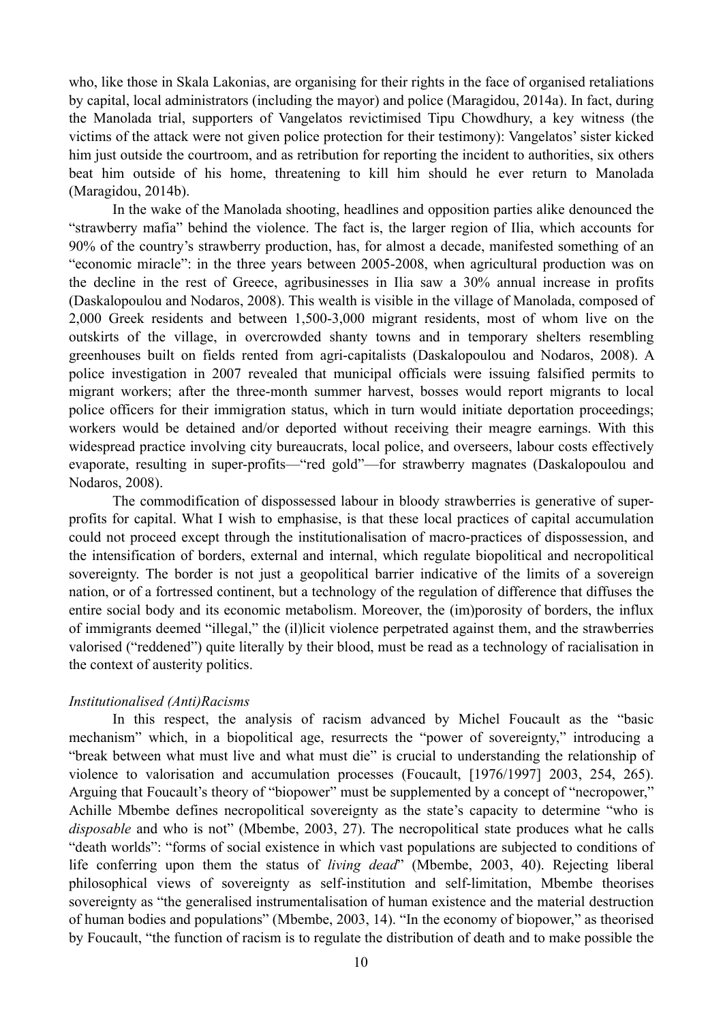who, like those in Skala Lakonias, are organising for their rights in the face of organised retaliations by capital, local administrators (including the mayor) and police (Maragidou, 2014a). In fact, during the Manolada trial, supporters of Vangelatos revictimised Tipu Chowdhury, a key witness (the victims of the attack were not given police protection for their testimony): Vangelatos' sister kicked him just outside the courtroom, and as retribution for reporting the incident to authorities, six others beat him outside of his home, threatening to kill him should he ever return to Manolada (Maragidou, 2014b).

 In the wake of the Manolada shooting, headlines and opposition parties alike denounced the "strawberry mafia" behind the violence. The fact is, the larger region of Ilia, which accounts for 90% of the country's strawberry production, has, for almost a decade, manifested something of an "economic miracle": in the three years between 2005-2008, when agricultural production was on the decline in the rest of Greece, agribusinesses in Ilia saw a 30% annual increase in profits (Daskalopoulou and Nodaros, 2008). This wealth is visible in the village of Manolada, composed of 2,000 Greek residents and between 1,500-3,000 migrant residents, most of whom live on the outskirts of the village, in overcrowded shanty towns and in temporary shelters resembling greenhouses built on fields rented from agri-capitalists (Daskalopoulou and Nodaros, 2008). A police investigation in 2007 revealed that municipal officials were issuing falsified permits to migrant workers; after the three-month summer harvest, bosses would report migrants to local police officers for their immigration status, which in turn would initiate deportation proceedings; workers would be detained and/or deported without receiving their meagre earnings. With this widespread practice involving city bureaucrats, local police, and overseers, labour costs effectively evaporate, resulting in super-profits—"red gold"—for strawberry magnates (Daskalopoulou and Nodaros, 2008).

 The commodification of dispossessed labour in bloody strawberries is generative of superprofits for capital. What I wish to emphasise, is that these local practices of capital accumulation could not proceed except through the institutionalisation of macro-practices of dispossession, and the intensification of borders, external and internal, which regulate biopolitical and necropolitical sovereignty. The border is not just a geopolitical barrier indicative of the limits of a sovereign nation, or of a fortressed continent, but a technology of the regulation of difference that diffuses the entire social body and its economic metabolism. Moreover, the (im)porosity of borders, the influx of immigrants deemed "illegal," the (il)licit violence perpetrated against them, and the strawberries valorised ("reddened") quite literally by their blood, must be read as a technology of racialisation in the context of austerity politics.

## *Institutionalised (Anti)Racisms*

 In this respect, the analysis of racism advanced by Michel Foucault as the "basic mechanism" which, in a biopolitical age, resurrects the "power of sovereignty," introducing a "break between what must live and what must die" is crucial to understanding the relationship of violence to valorisation and accumulation processes (Foucault, [1976/1997] 2003, 254, 265). Arguing that Foucault's theory of "biopower" must be supplemented by a concept of "necropower," Achille Mbembe defines necropolitical sovereignty as the state's capacity to determine "who is *disposable* and who is not" (Mbembe, 2003, 27). The necropolitical state produces what he calls "death worlds": "forms of social existence in which vast populations are subjected to conditions of life conferring upon them the status of *living dead*" (Mbembe, 2003, 40). Rejecting liberal philosophical views of sovereignty as self-institution and self-limitation, Mbembe theorises sovereignty as "the generalised instrumentalisation of human existence and the material destruction of human bodies and populations" (Mbembe, 2003, 14). "In the economy of biopower," as theorised by Foucault, "the function of racism is to regulate the distribution of death and to make possible the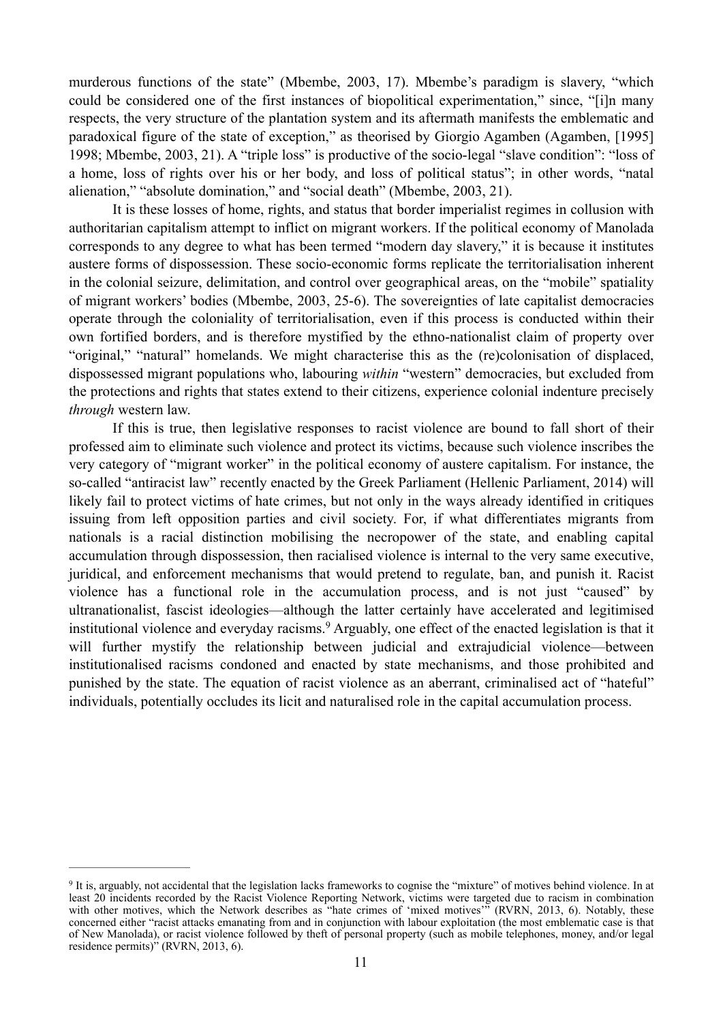murderous functions of the state" (Mbembe, 2003, 17). Mbembe's paradigm is slavery, "which could be considered one of the first instances of biopolitical experimentation," since, "[i]n many respects, the very structure of the plantation system and its aftermath manifests the emblematic and paradoxical figure of the state of exception," as theorised by Giorgio Agamben (Agamben, [1995] 1998; Mbembe, 2003, 21). A "triple loss" is productive of the socio-legal "slave condition": "loss of a home, loss of rights over his or her body, and loss of political status"; in other words, "natal alienation," "absolute domination," and "social death" (Mbembe, 2003, 21).

 It is these losses of home, rights, and status that border imperialist regimes in collusion with authoritarian capitalism attempt to inflict on migrant workers. If the political economy of Manolada corresponds to any degree to what has been termed "modern day slavery," it is because it institutes austere forms of dispossession. These socio-economic forms replicate the territorialisation inherent in the colonial seizure, delimitation, and control over geographical areas, on the "mobile" spatiality of migrant workers' bodies (Mbembe, 2003, 25-6). The sovereignties of late capitalist democracies operate through the coloniality of territorialisation, even if this process is conducted within their own fortified borders, and is therefore mystified by the ethno-nationalist claim of property over "original," "natural" homelands. We might characterise this as the (re)colonisation of displaced, dispossessed migrant populations who, labouring *within* "western" democracies, but excluded from the protections and rights that states extend to their citizens, experience colonial indenture precisely *through* western law.

 If this is true, then legislative responses to racist violence are bound to fall short of their professed aim to eliminate such violence and protect its victims, because such violence inscribes the very category of "migrant worker" in the political economy of austere capitalism. For instance, the so-called "antiracist law" recently enacted by the Greek Parliament (Hellenic Parliament, 2014) will likely fail to protect victims of hate crimes, but not only in the ways already identified in critiques issuing from left opposition parties and civil society. For, if what differentiates migrants from nationals is a racial distinction mobilising the necropower of the state, and enabling capital accumulation through dispossession, then racialised violence is internal to the very same executive, juridical, and enforcement mechanisms that would pretend to regulate, ban, and punish it. Racist violence has a functional role in the accumulation process, and is not just "caused" by ultranationalist, fascist ideologies—although the latter certainly have accelerated and legitimised institutional violence and everyday racisms.<sup>9</sup> Arguably, one effect of the enacted legislation is that it will further mystify the relationship between judicial and extrajudicial violence—between institutionalised racisms condoned and enacted by state mechanisms, and those prohibited and punished by the state. The equation of racist violence as an aberrant, criminalised act of "hateful" individuals, potentially occludes its licit and naturalised role in the capital accumulation process.

<sup>&</sup>lt;sup>9</sup> It is, arguably, not accidental that the legislation lacks frameworks to cognise the "mixture" of motives behind violence. In at least 20 incidents recorded by the Racist Violence Reporting Network, victims were targeted due to racism in combination with other motives, which the Network describes as "hate crimes of 'mixed motives'" (RVRN, 2013, 6). Notably, these concerned either "racist attacks emanating from and in conjunction with labour exploitation (the most emblematic case is that of New Manolada), or racist violence followed by theft of personal property (such as mobile telephones, money, and/or legal residence permits)" (RVRN, 2013, 6).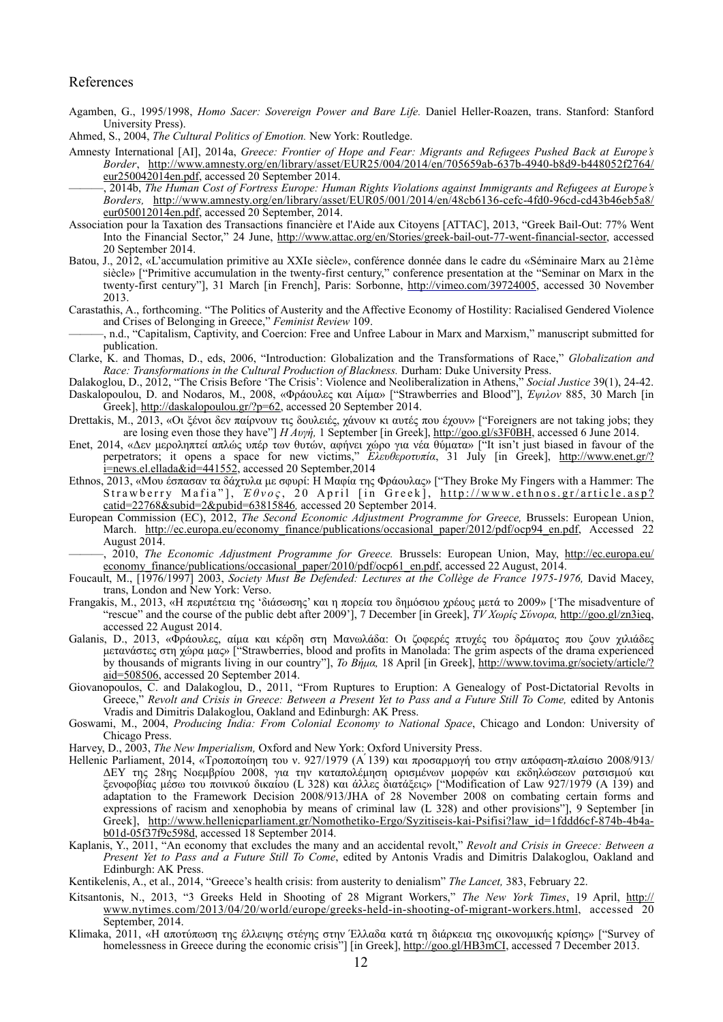#### References

- Agamben, G., 1995/1998, *Homo Sacer: Sovereign Power and Bare Life.* Daniel Heller-Roazen, trans. Stanford: Stanford University Press).
- Ahmed, S., 2004, *The Cultural Politics of Emotion.* New York: Routledge.
- Amnesty International [AI], 2014a, *Greece: Frontier of Hope and Fear: Migrants and Refugees Pushed Back at Europe's Border*[, http://www.amnesty.org/en/library/asset/EUR25/004/2014/en/705659ab-637b-4940-b8d9-b448052f2764/](http://www.amnesty.org/en/library/asset/EUR25/004/2014/en/705659ab-637b-4940-b8d9-b448052f2764/eur250042014en.pdf) eur250042014en.pdf, accessed 20 September 2014.
	- ———, 2014b, *The Human Cost of Fortress Europe: Human Rights Violations against Immigrants and Refugees at Europe's Borders,* [http://www.amnesty.org/en/library/asset/EUR05/001/2014/en/48cb6136-cefc-4fd0-96cd-cd43b46eb5a8/](http://www.amnesty.org/en/library/asset/EUR05/001/2014/en/48cb6136-cefc-4fd0-96cd-cd43b46eb5a8/eur050012014en.pdf) eur050012014en.pdf, accessed 20 September, 2014.
- Association pour la Taxation des Transactions financière et l'Aide aux Citoyens [ATTAC], 2013, "Greek Bail-Out: 77% Went Into the Financial Sector," 24 June, <http://www.attac.org/en/Stories/greek-bail-out-77-went-financial-sector>, accessed 20 September 2014.
- Batou, J., 2012, «L'accumulation primitive au XXIe siècle», conférence donnée dans le cadre du «Séminaire Marx au 21ème siècle» ["Primitive accumulation in the twenty-first century," conference presentation at the "Seminar on Marx in the twenty-first century"], 31 March [in French], Paris: Sorbonne, [http://vimeo.com/39724005,](http://vimeo.com/39724005) accessed 30 November 2013.
- Carastathis, A., forthcoming. "The Politics of Austerity and the Affective Economy of Hostility: Racialised Gendered Violence and Crises of Belonging in Greece," *Feminist Review* 109.
- ———, n.d., "Capitalism, Captivity, and Coercion: Free and Unfree Labour in Marx and Marxism," manuscript submitted for publication.
- Clarke, K. and Thomas, D., eds, 2006, "Introduction: Globalization and the Transformations of Race," *Globalization and Race: Transformations in the Cultural Production of Blackness.* Durham: Duke University Press.
- Dalakoglou, D., 2012, "The Crisis Before 'The Crisis': Violence and Neoliberalization in Athens," *Social Justice* 39(1), 24-42.
- Daskalopoulou, D. and Nodaros, M., 2008, «Φράουλες και Αίµα» ["Strawberries and Blood"], *Έψιλον* 885, 30 March [in Greek],<http://daskalopoulou.gr/?p=62>, accessed 20 September 2014.
- Drettakis, M., 2013, «Οι ξένοι δεν παίρνουν τις δουλειές, χάνουν κι αυτές που έχουν» ["Foreigners are not taking jobs; they are losing even those they have"] *Η Αυγή,* 1 September [in Greek],<http://goo.gl/s3F0BH>, accessed 6 June 2014.
- Enet, 2014, «Δεν µεροληπτεί απλώς υπέρ των θυτών, αφήνει χώρο για νέα θύµατα» ["It isn't just biased in favour of the perpetrators; it opens a space for new victims," *Ελευθεροτυπία*, 31 July [in Greek], http://www.enet.gr/? [i=news.el.ellada&id=441552, accessed 20 September,2014](http://www.enet.gr/?i=news.el.ellada&id=441552)
- Ethnos, 2013, «Μου έσπασαν τα δάχτυλα µε σφυρί: Η Μαφία της Φράουλας» ["They Broke My Fingers with a Hammer: The Strawberry Mafia"], *Έθνος*, 20 April [in Greek], http://www.ethnos.gr/article.asp? catid=22768&subid=2&pubid=63815846*,* accessed 20 September 2014.
- European Commission (ΕC), 2012, *The Second Economic Adjustment Programme for Greece,* Brussels: European Union, March. [http://ec.europa.eu/economy\\_finance/publications/occasional\\_paper/2012/pdf/ocp94\\_en.pdf](http://ec.europa.eu/economy_finance/publications/occasional_paper/2012/pdf/ocp94_en.pdf), Accessed 22 August  $2014$ .
- ———, 2010, *The Economic Adjustment Programme for Greece.* Brussels: European Union, May, http://ec.europa.eu/ economy\_finance/publications/occasional\_paper/2010/pdf/ocp61\_en.pdf, accessed 22 August, 2014.
- Foucault, M., [1976/1997] 2003, *Society Must Be Defended: Lectures at the Collège de France 1975-1976,* David Macey, trans, London and New York: Verso.
- Frangakis, M., 2013, «Η περιπέτεια της 'διάσωσης' και η πορεία του δηµόσιου χρέους µετά το 2009» ['The misadventure of "rescue" and the course of the public debt after 2009'], 7 December [in Greek], *ΤV Χωρίς Σύνορα,* <http://goo.gl/zn3ieq>, accessed 22 August 2014.
- Galanis, D., 2013, «Φράουλες, αίµα και κέρδη στη Μανωλάδα: Οι ζοφερές πτυχές του δράµατος που ζουν χιλιάδες µετανάστες στη χώρα µας» ["Strawberries, blood and profits in Manolada: The grim aspects of the drama experienced by thousands of migrants living in our country"], *Το Βήµα,* [18 April \[in Greek\], http://www.tovima.gr/society/article/?](http://www.tovima.gr/society/article/?aid=508506) aid=508506, accessed 20 September 2014.
- Giovanopoulos, C. and Dalakoglou, D., 2011, "From Ruptures to Eruption: A Genealogy of Post-Dictatorial Revolts in Greece," *Revolt and Crisis in Greece: Between a Present Yet to Pass and a Future Still To Come,* edited by Antonis Vradis and Dimitris Dalakoglou, Oakland and Edinburgh: AK Press.
- Goswami, M., 2004, *Producing India: From Colonial Economy to National Space*, Chicago and London: University of Chicago Press.
- Harvey, D., 2003, *The New Imperialism,* Oxford and New York: Oxford University Press.
- Hellenic Parliament, 2014, «Τροποποίηση του ν. 927/1979 (Α'139) και προσαρμογή του στην απόφαση-πλαίσιο 2008/913/ ΔΕΥ της 28ης Νοεµβρίου 2008, για την καταπολέµηση ορισµένων µορφών και εκδηλώσεων ρατσισµού και ξενοφοβίας µέσω του ποινικού δικαίου (L 328) και άλλες διατάξεις» ["Modification of Law 927/1979 (A 139) and adaptation to the Framework Decision 2008/913/JHA of 28 November 2008 on combating certain forms and expressions of racism and xenophobia by means of criminal law (L 328) and other provisions"], 9 September [in [Greek\], http://www.hellenicparliament.gr/Nomothetiko-Ergo/Syzitiseis-kai-Psifisi?law\\_id=1fddd6cf-874b-4b4a](http://www.hellenicparliament.gr/Nomothetiko-Ergo/Syzitiseis-kai-Psifisi?law_id=1fddd6cf-874b-4b4a-b01d-05f37f9c598d)b01d-05f37f9c598d, accessed 18 September 2014.
- Kaplanis, Y., 2011, "An economy that excludes the many and an accidental revolt," *Revolt and Crisis in Greece: Between a Present Yet to Pass and a Future Still To Come*, edited by Antonis Vradis and Dimitris Dalakoglou, Oakland and Edinburgh: AK Press.

Kentikelenis, A., et al., 2014, "Greece's health crisis: from austerity to denialism" *The Lancet,* 383, February 22.

- Kitsantonis, N., 2013, "3 Greeks Held in Shooting of 28 Migrant Workers," *The New York Times*, 19 April, http:// [www.nytimes.com/2013/04/20/world/europe/greeks-held-in-shooting-of-migrant-workers.html, accessed 20](http://www.nytimes.com/2013/04/20/world/europe/greeks-held-in-shooting-of-migrant-workers.html)  September, 2014.
- Klimaka, 2011, «Η αποτύπωση της έλλειψης στέγης στην Έλλαδα κατά τη διάρκεια της οικονομικής κρίσης» ["Survey of homelessness in Greece during the economic crisis"] [in Greek], [http://goo.gl/HB3mCI,](http://goo.gl/HB3mCI) accessed 7 December 2013.